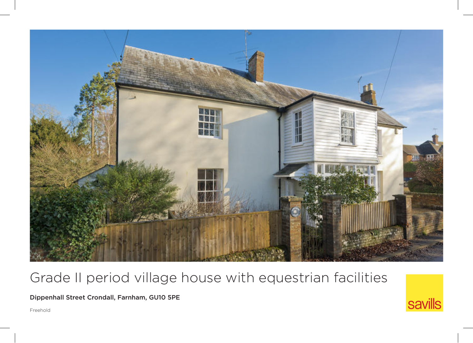

# Grade II period village house with equestrian facilities

Dippenhall Street Crondall, Farnham, GU10 5PE

Freehold

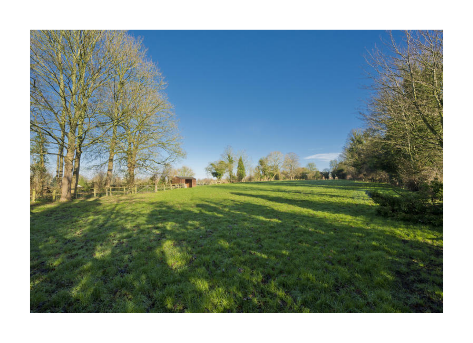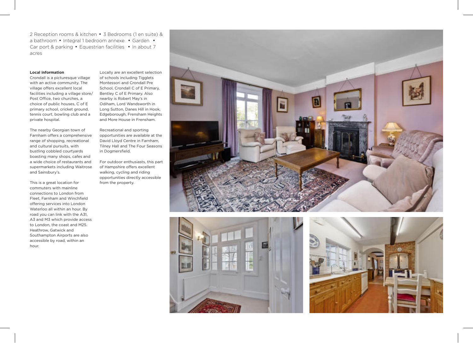2 Reception rooms & kitchen • 3 Bedrooms (1 en suite) & a bathroom • Integral 1 bedroom annexe • Garden • Car port & parking • Equestrian facilities • In about 7 acres

### **Local information**

Crondall is a picturesque village with an active community. The village offers excellent local facilities including a village store/ Post Office, two churches, a choice of public houses, C of E primary school, cricket ground, tennis court, bowling club and a private hospital.

The nearby Georgian town of Farnham offers a comprehensive range of shopping, recreational and cultural pursuits, with bustling cobbled courtyards boasting many shops, cafes and a wide choice of restaurants and supermarkets including Waitrose and Sainsbury's.

This is a great location for commuters with mainline connections to London from Fleet, Farnham and Winchfield offering services into London Waterloo all within an hour. By road you can link with the A31, A3 and M3 which provide access to London, the coast and M25. Heathrow, Gatwick and Southampton Airports are also accessible by road, within an hour.

Locally are an excellent selection of schools including Tigglets Montessori and Crondall Pre School, Crondall C of E Primary. Bentley C of E Primary. Also nearby is Robert May's in Odiham, Lord Wandsworth in Long Sutton, Danes Hill in Hook, Edgeborough, Frensham Heights and More House in Frensham.

Recreational and sporting opportunities are available at the David Lloyd Centre in Farnham, Tilney Hall and The Four Seasons in Dogmersfield.

For outdoor enthusiasts, this part of Hampshire offers excellent walking, cycling and riding opportunities directly accessible from the property.





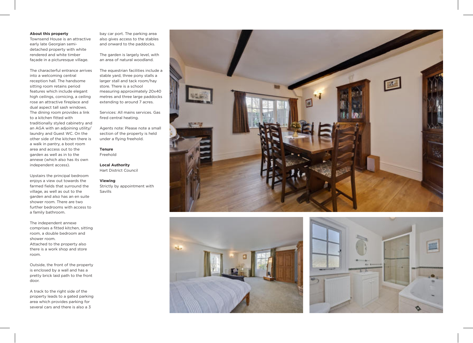#### **About this property**

Townsend House is an attractive early late Georgian semidetached property with white rendered and white timber façade in a picturesque village.

The characterful entrance arrives into a welcoming central reception hall. The handsome sitting room retains period features which include elegant high ceilings, cornicing, a ceiling rose an attractive fireplace and dual aspect tall sash windows. The dining room provides a link to a kitchen fitted with traditionally styled cabinetry and an AGA with an adjoining utility/ laundry and Guest WC. On the other side of the kitchen there is a walk in pantry, a boot room area and access out to the garden as well as in to the annexe (which also has its own independent access).

Upstairs the principal bedroom enjoys a view out towards the farmed fields that surround the village, as well as out to the garden and also has an en suite shower room. There are two further bedrooms with access to a family bathroom.

The independent annexe comprises a fitted kitchen, sitting room, a double bedroom and shower room. Attached to the property also there is a work shop and store room.

Outside, the front of the property is enclosed by a wall and has a pretty brick laid path to the front door.

A track to the right side of the property leads to a gated parking area which provides parking for several cars and there is also a 3

bay car port. The parking area also gives access to the stables and onward to the paddocks.

The garden is largely level, with an area of natural woodland.

The equestrian facilities include a stable yard, three pony stalls a larger stall and tack room/hay store. There is a school measuring approximately 20x40 metres and three large paddocks extending to around 7 acres.

Services: All mains services. Gas fired central heating.

Agents note: Please note a small section of the property is held under a flying freehold.

#### **Tenure** Freehold

**Local Authority** Hart District Council

#### **Viewing**

Strictly by appointment with Savills





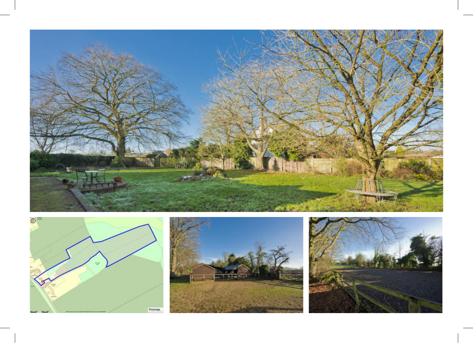